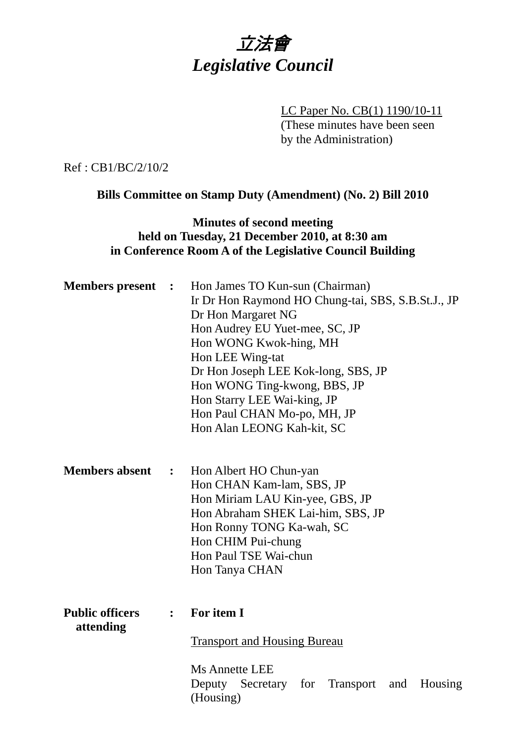立法會 *Legislative Council* 

> LC Paper No. CB(1) 1190/10-11 (These minutes have been seen by the Administration)

Ref : CB1/BC/2/10/2

**Bills Committee on Stamp Duty (Amendment) (No. 2) Bill 2010** 

### **Minutes of second meeting held on Tuesday, 21 December 2010, at 8:30 am in Conference Room A of the Legislative Council Building**

| <b>Members</b> present              | $\ddot{\phantom{1}}$ | Hon James TO Kun-sun (Chairman)<br>Ir Dr Hon Raymond HO Chung-tai, SBS, S.B.St.J., JP<br>Dr Hon Margaret NG<br>Hon Audrey EU Yuet-mee, SC, JP<br>Hon WONG Kwok-hing, MH<br>Hon LEE Wing-tat<br>Dr Hon Joseph LEE Kok-long, SBS, JP<br>Hon WONG Ting-kwong, BBS, JP<br>Hon Starry LEE Wai-king, JP<br>Hon Paul CHAN Mo-po, MH, JP<br>Hon Alan LEONG Kah-kit, SC |
|-------------------------------------|----------------------|----------------------------------------------------------------------------------------------------------------------------------------------------------------------------------------------------------------------------------------------------------------------------------------------------------------------------------------------------------------|
| <b>Members absent</b>               | $\ddot{\bullet}$     | Hon Albert HO Chun-yan<br>Hon CHAN Kam-lam, SBS, JP<br>Hon Miriam LAU Kin-yee, GBS, JP<br>Hon Abraham SHEK Lai-him, SBS, JP<br>Hon Ronny TONG Ka-wah, SC<br>Hon CHIM Pui-chung<br>Hon Paul TSE Wai-chun<br>Hon Tanya CHAN                                                                                                                                      |
| <b>Public officers</b><br>attending | $\ddot{\cdot}$       | For item I<br><b>Transport and Housing Bureau</b>                                                                                                                                                                                                                                                                                                              |
|                                     |                      | <b>Ms Annette LEE</b><br>Deputy<br>Secretary for<br>Transport and<br>Housing<br>(Housing)                                                                                                                                                                                                                                                                      |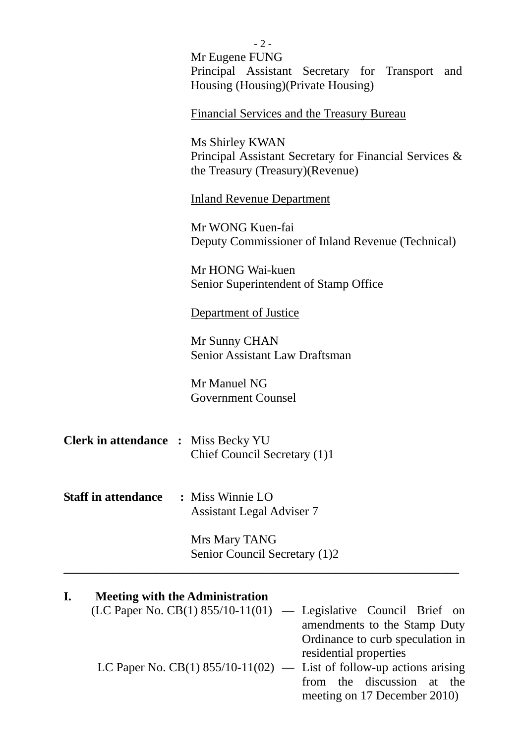|                                            | $-2-$                                                                                                          |
|--------------------------------------------|----------------------------------------------------------------------------------------------------------------|
|                                            | Mr Eugene FUNG                                                                                                 |
|                                            | Principal Assistant Secretary for Transport and                                                                |
|                                            | Housing (Housing) (Private Housing)                                                                            |
|                                            | Financial Services and the Treasury Bureau                                                                     |
|                                            | Ms Shirley KWAN<br>Principal Assistant Secretary for Financial Services &<br>the Treasury (Treasury) (Revenue) |
|                                            | <b>Inland Revenue Department</b>                                                                               |
|                                            | Mr WONG Kuen-fai                                                                                               |
|                                            | Deputy Commissioner of Inland Revenue (Technical)                                                              |
|                                            | Mr HONG Wai-kuen<br>Senior Superintendent of Stamp Office                                                      |
|                                            |                                                                                                                |
|                                            | <b>Department of Justice</b>                                                                                   |
|                                            | Mr Sunny CHAN                                                                                                  |
|                                            | <b>Senior Assistant Law Draftsman</b>                                                                          |
|                                            | Mr Manuel NG                                                                                                   |
|                                            | <b>Government Counsel</b>                                                                                      |
|                                            |                                                                                                                |
|                                            |                                                                                                                |
| <b>Clerk in attendance : Miss Becky YU</b> | Chief Council Secretary (1)1                                                                                   |
|                                            |                                                                                                                |
|                                            |                                                                                                                |
| <b>Staff in attendance</b>                 | : Miss Winnie LO                                                                                               |
|                                            | <b>Assistant Legal Adviser 7</b>                                                                               |
|                                            | Mrs Mary TANG                                                                                                  |
|                                            | Senior Council Secretary (1)2                                                                                  |
|                                            |                                                                                                                |

# **I. Meeting with the Administration**

| $(LC$ Paper No. CB(1) 855/10-11(01) — Legislative Council Brief on     |                                  |  |
|------------------------------------------------------------------------|----------------------------------|--|
|                                                                        | amendments to the Stamp Duty     |  |
|                                                                        | Ordinance to curb speculation in |  |
|                                                                        | residential properties           |  |
| LC Paper No. CB(1) $855/10-11(02)$ — List of follow-up actions arising |                                  |  |
|                                                                        | from the discussion at the       |  |
|                                                                        | meeting on 17 December 2010)     |  |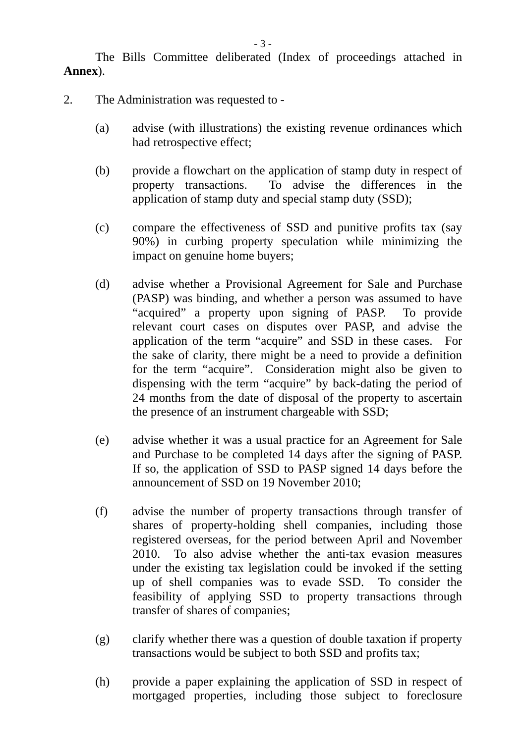The Bills Committee deliberated (Index of proceedings attached in **Annex**).

- 2. The Administration was requested to
	- (a) advise (with illustrations) the existing revenue ordinances which had retrospective effect;
	- (b) provide a flowchart on the application of stamp duty in respect of property transactions. To advise the differences in the application of stamp duty and special stamp duty (SSD);
	- (c) compare the effectiveness of SSD and punitive profits tax (say 90%) in curbing property speculation while minimizing the impact on genuine home buyers;
	- (d) advise whether a Provisional Agreement for Sale and Purchase (PASP) was binding, and whether a person was assumed to have "acquired" a property upon signing of PASP. To provide relevant court cases on disputes over PASP, and advise the application of the term "acquire" and SSD in these cases. For the sake of clarity, there might be a need to provide a definition for the term "acquire". Consideration might also be given to dispensing with the term "acquire" by back-dating the period of 24 months from the date of disposal of the property to ascertain the presence of an instrument chargeable with SSD;
	- (e) advise whether it was a usual practice for an Agreement for Sale and Purchase to be completed 14 days after the signing of PASP. If so, the application of SSD to PASP signed 14 days before the announcement of SSD on 19 November 2010;
	- (f) advise the number of property transactions through transfer of shares of property-holding shell companies, including those registered overseas, for the period between April and November 2010. To also advise whether the anti-tax evasion measures under the existing tax legislation could be invoked if the setting up of shell companies was to evade SSD. To consider the feasibility of applying SSD to property transactions through transfer of shares of companies;
	- (g) clarify whether there was a question of double taxation if property transactions would be subject to both SSD and profits tax;
	- (h) provide a paper explaining the application of SSD in respect of mortgaged properties, including those subject to foreclosure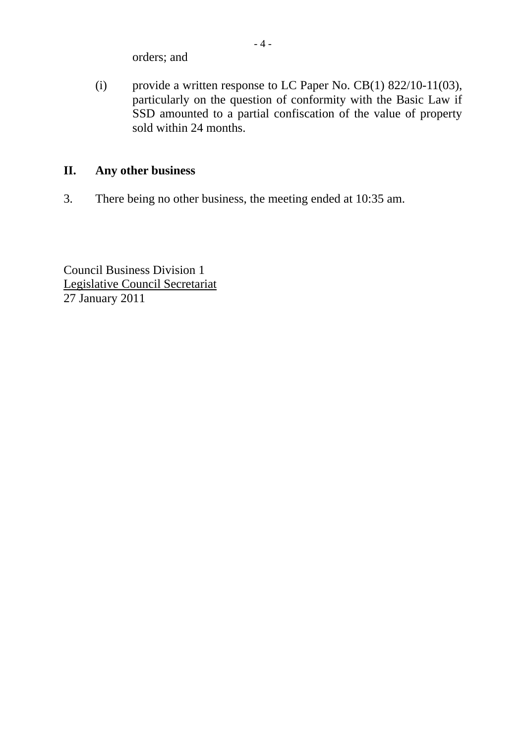orders; and

(i) provide a written response to LC Paper No. CB(1) 822/10-11(03), particularly on the question of conformity with the Basic Law if SSD amounted to a partial confiscation of the value of property sold within 24 months.

## **II. Any other business**

3. There being no other business, the meeting ended at 10:35 am.

Council Business Division 1 Legislative Council Secretariat 27 January 2011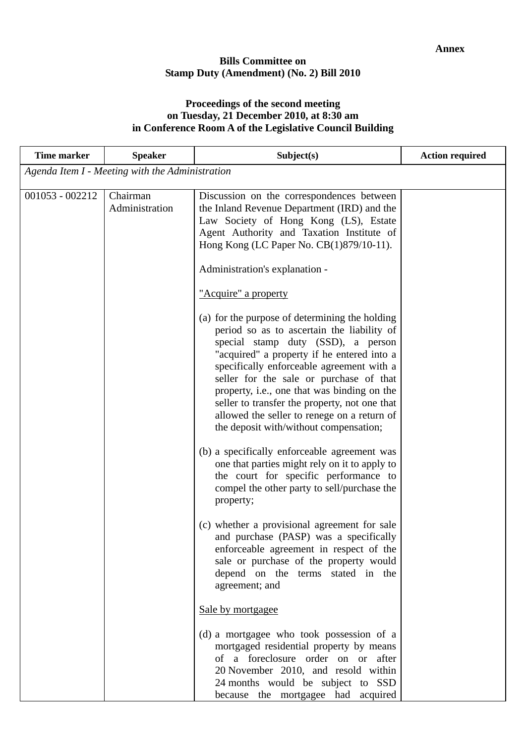#### **Bills Committee on Stamp Duty (Amendment) (No. 2) Bill 2010**

#### **Proceedings of the second meeting on Tuesday, 21 December 2010, at 8:30 am in Conference Room A of the Legislative Council Building**

| <b>Time marker</b> | <b>Speaker</b>                                  | Subject(s)                                                                                                                                                                                                                                                                                                                                                                                                                                                                                                                                                                                                                                                                                                                                                                                                                                                 | <b>Action required</b> |
|--------------------|-------------------------------------------------|------------------------------------------------------------------------------------------------------------------------------------------------------------------------------------------------------------------------------------------------------------------------------------------------------------------------------------------------------------------------------------------------------------------------------------------------------------------------------------------------------------------------------------------------------------------------------------------------------------------------------------------------------------------------------------------------------------------------------------------------------------------------------------------------------------------------------------------------------------|------------------------|
|                    | Agenda Item I - Meeting with the Administration |                                                                                                                                                                                                                                                                                                                                                                                                                                                                                                                                                                                                                                                                                                                                                                                                                                                            |                        |
| $001053 - 002212$  | Chairman<br>Administration                      | Discussion on the correspondences between<br>the Inland Revenue Department (IRD) and the<br>Law Society of Hong Kong (LS), Estate<br>Agent Authority and Taxation Institute of<br>Hong Kong (LC Paper No. CB(1)879/10-11).<br>Administration's explanation -<br>"Acquire" a property<br>(a) for the purpose of determining the holding<br>period so as to ascertain the liability of<br>special stamp duty (SSD), a person<br>"acquired" a property if he entered into a<br>specifically enforceable agreement with a<br>seller for the sale or purchase of that<br>property, i.e., one that was binding on the<br>seller to transfer the property, not one that<br>allowed the seller to renege on a return of<br>the deposit with/without compensation;<br>(b) a specifically enforceable agreement was<br>one that parties might rely on it to apply to |                        |
|                    |                                                 | the court for specific performance to<br>compel the other party to sell/purchase the<br>property;<br>(c) whether a provisional agreement for sale<br>and purchase (PASP) was a specifically<br>enforceable agreement in respect of the<br>sale or purchase of the property would<br>depend on the terms stated in the<br>agreement; and<br>Sale by mortgagee<br>(d) a mortgagee who took possession of a<br>mortgaged residential property by means<br>of a foreclosure order on or after<br>20 November 2010, and resold within<br>24 months would be subject to SSD<br>because the mortgagee had acquired                                                                                                                                                                                                                                                |                        |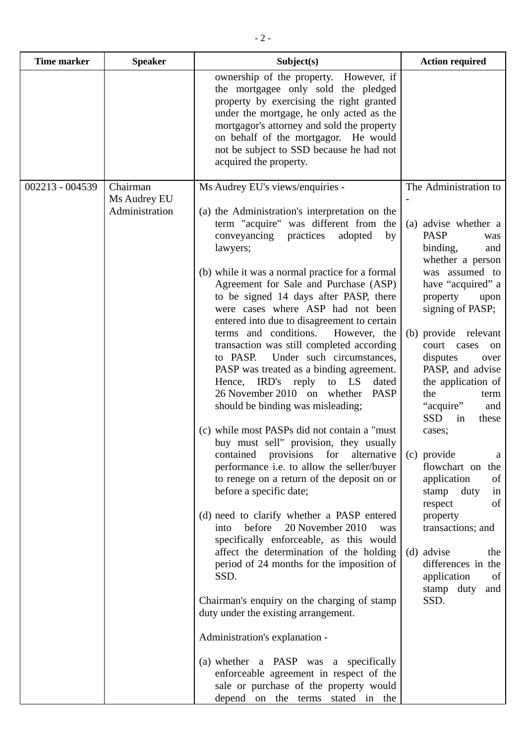| <b>Time marker</b> | <b>Speaker</b>                 | Subject(s)                                                                                                                                                                                                                                                                                                                                                                                                                                                                                                                                                                                                                                                                                                                                                                                                                                                                                                                                                                                                                                                                                                                                                                                                                                                                                                                                                                                                                                     | <b>Action required</b>                                                                                                                                                                                                                                                                                                                                                                                                                                                                                                                                                                |
|--------------------|--------------------------------|------------------------------------------------------------------------------------------------------------------------------------------------------------------------------------------------------------------------------------------------------------------------------------------------------------------------------------------------------------------------------------------------------------------------------------------------------------------------------------------------------------------------------------------------------------------------------------------------------------------------------------------------------------------------------------------------------------------------------------------------------------------------------------------------------------------------------------------------------------------------------------------------------------------------------------------------------------------------------------------------------------------------------------------------------------------------------------------------------------------------------------------------------------------------------------------------------------------------------------------------------------------------------------------------------------------------------------------------------------------------------------------------------------------------------------------------|---------------------------------------------------------------------------------------------------------------------------------------------------------------------------------------------------------------------------------------------------------------------------------------------------------------------------------------------------------------------------------------------------------------------------------------------------------------------------------------------------------------------------------------------------------------------------------------|
|                    |                                | ownership of the property. However, if<br>the mortgagee only sold the pledged<br>property by exercising the right granted<br>under the mortgage, he only acted as the<br>mortgagor's attorney and sold the property<br>on behalf of the mortgagor. He would<br>not be subject to SSD because he had not<br>acquired the property.                                                                                                                                                                                                                                                                                                                                                                                                                                                                                                                                                                                                                                                                                                                                                                                                                                                                                                                                                                                                                                                                                                              |                                                                                                                                                                                                                                                                                                                                                                                                                                                                                                                                                                                       |
| 002213 - 004539    | Chairman                       | Ms Audrey EU's views/enquiries -                                                                                                                                                                                                                                                                                                                                                                                                                                                                                                                                                                                                                                                                                                                                                                                                                                                                                                                                                                                                                                                                                                                                                                                                                                                                                                                                                                                                               | The Administration to                                                                                                                                                                                                                                                                                                                                                                                                                                                                                                                                                                 |
|                    | Ms Audrey EU<br>Administration | (a) the Administration's interpretation on the<br>term "acquire" was different from the<br>conveyancing<br>adopted<br>practices<br>by<br>lawyers;<br>(b) while it was a normal practice for a formal<br>Agreement for Sale and Purchase (ASP)<br>to be signed 14 days after PASP, there<br>were cases where ASP had not been<br>entered into due to disagreement to certain<br>terms and conditions.<br>However, the<br>transaction was still completed according<br>Under such circumstances,<br>to PASP.<br>PASP was treated as a binding agreement.<br>Hence, IRD's reply to LS<br>dated<br>26 November 2010 on whether<br><b>PASP</b><br>should be binding was misleading;<br>(c) while most PASPs did not contain a "must"<br>buy must sell" provision, they usually<br>contained<br>provisions<br>for<br>alternative<br>performance i.e. to allow the seller/buyer<br>to renege on a return of the deposit on or<br>before a specific date;<br>(d) need to clarify whether a PASP entered<br>before<br>20 November 2010<br>into<br>was<br>specifically enforceable, as this would<br>affect the determination of the holding<br>period of 24 months for the imposition of<br>SSD.<br>Chairman's enquiry on the charging of stamp<br>duty under the existing arrangement.<br>Administration's explanation -<br>(a) whether a PASP was a specifically<br>enforceable agreement in respect of the<br>sale or purchase of the property would | (a) advise whether a<br><b>PASP</b><br>was<br>binding,<br>and<br>whether a person<br>was assumed to<br>have "acquired" a<br>property<br>upon<br>signing of PASP;<br>(b) provide relevant<br>court cases on<br>disputes<br>over<br>PASP, and advise<br>the application of<br>the<br>term<br>"acquire"<br>and<br><b>SSD</b><br>these<br>in<br>cases;<br>(c) provide<br>a<br>flowchart on the<br>application<br>of<br>stamp<br>duty<br>in<br>respect<br>of<br>property<br>transactions; and<br>(d) advise<br>the<br>differences in the<br>application<br>of<br>stamp duty<br>and<br>SSD. |
|                    |                                | depend on the terms stated in the                                                                                                                                                                                                                                                                                                                                                                                                                                                                                                                                                                                                                                                                                                                                                                                                                                                                                                                                                                                                                                                                                                                                                                                                                                                                                                                                                                                                              |                                                                                                                                                                                                                                                                                                                                                                                                                                                                                                                                                                                       |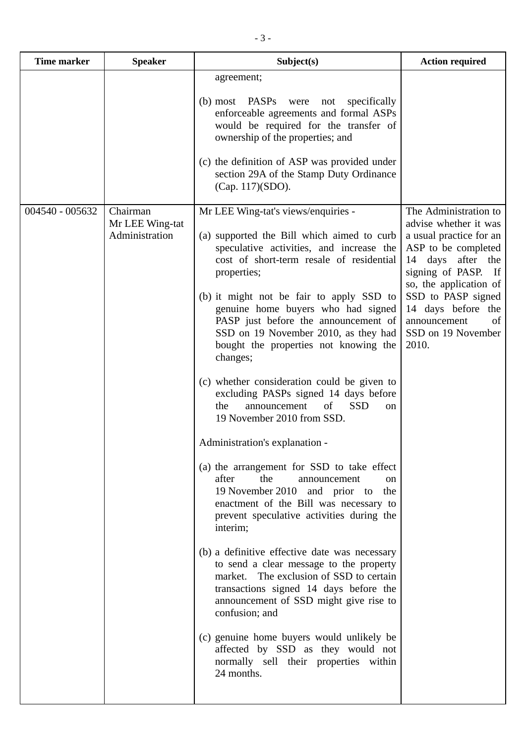| <b>Time marker</b> | <b>Speaker</b>                                | Subject(s)                                                                                                                                                                                                                                                                                                                                                                                                                                                                                                                                                                                                                                                                                                                                                                                                                                                                                                                                                                                                                                                                                                                                                                                                                                            | <b>Action required</b>                                                                                                                                                                                                                                                        |
|--------------------|-----------------------------------------------|-------------------------------------------------------------------------------------------------------------------------------------------------------------------------------------------------------------------------------------------------------------------------------------------------------------------------------------------------------------------------------------------------------------------------------------------------------------------------------------------------------------------------------------------------------------------------------------------------------------------------------------------------------------------------------------------------------------------------------------------------------------------------------------------------------------------------------------------------------------------------------------------------------------------------------------------------------------------------------------------------------------------------------------------------------------------------------------------------------------------------------------------------------------------------------------------------------------------------------------------------------|-------------------------------------------------------------------------------------------------------------------------------------------------------------------------------------------------------------------------------------------------------------------------------|
|                    |                                               | agreement;<br>(b) most PASPs were<br>specifically<br>not<br>enforceable agreements and formal ASPs<br>would be required for the transfer of<br>ownership of the properties; and<br>(c) the definition of ASP was provided under<br>section 29A of the Stamp Duty Ordinance<br>(Cap. 117)(SDO).                                                                                                                                                                                                                                                                                                                                                                                                                                                                                                                                                                                                                                                                                                                                                                                                                                                                                                                                                        |                                                                                                                                                                                                                                                                               |
| 004540 - 005632    | Chairman<br>Mr LEE Wing-tat<br>Administration | Mr LEE Wing-tat's views/enquiries -<br>(a) supported the Bill which aimed to curb<br>speculative activities, and increase the<br>cost of short-term resale of residential<br>properties;<br>(b) it might not be fair to apply SSD to<br>genuine home buyers who had signed<br>PASP just before the announcement of<br>SSD on 19 November 2010, as they had<br>bought the properties not knowing the<br>changes;<br>(c) whether consideration could be given to<br>excluding PASPs signed 14 days before<br>announcement<br>of<br><b>SSD</b><br>the<br><sub>on</sub><br>19 November 2010 from SSD.<br>Administration's explanation -<br>(a) the arrangement for SSD to take effect<br>after<br>the<br>announcement<br>on<br>19 November 2010 and prior to the<br>enactment of the Bill was necessary to<br>prevent speculative activities during the<br>interim;<br>(b) a definitive effective date was necessary<br>to send a clear message to the property<br>market. The exclusion of SSD to certain<br>transactions signed 14 days before the<br>announcement of SSD might give rise to<br>confusion; and<br>(c) genuine home buyers would unlikely be<br>affected by SSD as they would not<br>normally sell their properties within<br>24 months. | The Administration to<br>advise whether it was<br>a usual practice for an<br>ASP to be completed<br>14 days<br>after the<br>signing of PASP. If<br>so, the application of<br>SSD to PASP signed<br>14 days before<br>the<br>announcement<br>of<br>SSD on 19 November<br>2010. |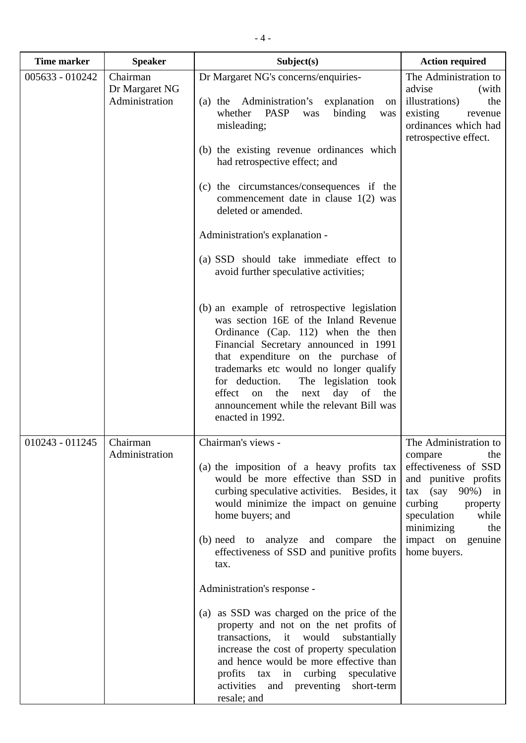| <b>Time marker</b> | <b>Speaker</b>                               | Subject(s)                                                                                                                                                                                                                                                                                                                                                                                                                                                                                                                                                                                                                                                                                                                                                                                                                                                       | <b>Action required</b>                                                                                                                                                                                                     |
|--------------------|----------------------------------------------|------------------------------------------------------------------------------------------------------------------------------------------------------------------------------------------------------------------------------------------------------------------------------------------------------------------------------------------------------------------------------------------------------------------------------------------------------------------------------------------------------------------------------------------------------------------------------------------------------------------------------------------------------------------------------------------------------------------------------------------------------------------------------------------------------------------------------------------------------------------|----------------------------------------------------------------------------------------------------------------------------------------------------------------------------------------------------------------------------|
| 005633 - 010242    | Chairman<br>Dr Margaret NG<br>Administration | Dr Margaret NG's concerns/enquiries-<br>(a) the Administration's explanation<br>on<br>whether<br>PASP<br>binding<br>was<br>was<br>misleading;<br>(b) the existing revenue ordinances which<br>had retrospective effect; and<br>(c) the circumstances/consequences if the<br>commencement date in clause $1(2)$ was<br>deleted or amended.<br>Administration's explanation -<br>(a) SSD should take immediate effect to<br>avoid further speculative activities;<br>(b) an example of retrospective legislation<br>was section 16E of the Inland Revenue<br>Ordinance (Cap. 112) when the then<br>Financial Secretary announced in 1991<br>that expenditure on the purchase of<br>trademarks etc would no longer qualify<br>for deduction.<br>The legislation took<br>effect<br>the<br>next<br>day<br>of<br>on<br>the<br>announcement while the relevant Bill was | The Administration to<br>advise<br>(with<br>illustrations)<br>the<br>existing<br>revenue<br>ordinances which had<br>retrospective effect.                                                                                  |
| $010243 - 011245$  | Chairman<br>Administration                   | enacted in 1992.<br>Chairman's views -<br>(a) the imposition of a heavy profits tax<br>would be more effective than SSD in<br>curbing speculative activities. Besides, it<br>would minimize the impact on genuine<br>home buyers; and<br>(b) need to analyze and compare<br>the<br>effectiveness of SSD and punitive profits<br>tax.<br>Administration's response -<br>(a) as SSD was charged on the price of the<br>property and not on the net profits of<br>transactions, it would<br>substantially<br>increase the cost of property speculation<br>and hence would be more effective than<br>profits tax in curbing speculative<br>activities and preventing short-term<br>resale; and                                                                                                                                                                       | The Administration to<br>the<br>compare<br>effectiveness of SSD<br>and punitive profits<br>$\arccos($ say 90%) in<br>curbing<br>property<br>speculation<br>while<br>minimizing<br>the<br>impact on genuine<br>home buyers. |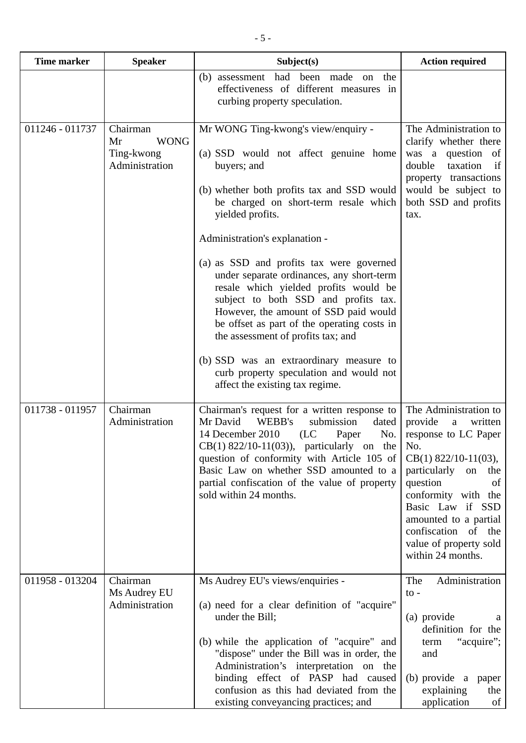| <b>Time marker</b> | <b>Speaker</b>                                                | Subject(s)                                                                                                                                                                                                                                                                                                                                                                                                                                                                                                                                                                                                                                                                | <b>Action required</b>                                                                                                                                                                                                                                                                                        |
|--------------------|---------------------------------------------------------------|---------------------------------------------------------------------------------------------------------------------------------------------------------------------------------------------------------------------------------------------------------------------------------------------------------------------------------------------------------------------------------------------------------------------------------------------------------------------------------------------------------------------------------------------------------------------------------------------------------------------------------------------------------------------------|---------------------------------------------------------------------------------------------------------------------------------------------------------------------------------------------------------------------------------------------------------------------------------------------------------------|
|                    |                                                               | the<br>(b) assessment had been made<br>on<br>effectiveness of different measures in<br>curbing property speculation.                                                                                                                                                                                                                                                                                                                                                                                                                                                                                                                                                      |                                                                                                                                                                                                                                                                                                               |
| 011246 - 011737    | Chairman<br><b>WONG</b><br>Mr<br>Ting-kwong<br>Administration | Mr WONG Ting-kwong's view/enquiry -<br>(a) SSD would not affect genuine home<br>buyers; and<br>(b) whether both profits tax and SSD would<br>be charged on short-term resale which<br>yielded profits.<br>Administration's explanation -<br>(a) as SSD and profits tax were governed<br>under separate ordinances, any short-term<br>resale which yielded profits would be<br>subject to both SSD and profits tax.<br>However, the amount of SSD paid would<br>be offset as part of the operating costs in<br>the assessment of profits tax; and<br>(b) SSD was an extraordinary measure to<br>curb property speculation and would not<br>affect the existing tax regime. | The Administration to<br>clarify whether there<br>was a question of<br>double<br>taxation<br>if<br>property transactions<br>would be subject to<br>both SSD and profits<br>tax.                                                                                                                               |
| 011738 - 011957    | Chairman<br>Administration                                    | Chairman's request for a written response to<br>Mr David<br>WEBB's<br>submission<br>dated<br>14 December 2010<br>(LC)<br>Paper<br>No.<br>$CB(1)$ 822/10-11(03)), particularly on the<br>question of conformity with Article 105 of<br>Basic Law on whether SSD amounted to a<br>partial confiscation of the value of property<br>sold within 24 months.                                                                                                                                                                                                                                                                                                                   | The Administration to<br>provide<br>written<br>$\mathbf{a}$<br>response to LC Paper<br>No.<br>$CB(1)$ 822/10-11(03),<br>particularly<br>on<br>the<br>question<br>of<br>conformity with the<br>Basic Law if SSD<br>amounted to a partial<br>confiscation of the<br>value of property sold<br>within 24 months. |
| 011958 - 013204    | Chairman<br>Ms Audrey EU<br>Administration                    | Ms Audrey EU's views/enquiries -<br>(a) need for a clear definition of "acquire"<br>under the Bill;<br>(b) while the application of "acquire" and<br>"dispose" under the Bill was in order, the<br>Administration's interpretation on the<br>binding effect of PASP had caused<br>confusion as this had deviated from the<br>existing conveyancing practices; and                                                                                                                                                                                                                                                                                                         | Administration<br>The<br>to -<br>(a) provide<br>a<br>definition for the<br>"acquire";<br>term<br>and<br>(b) provide a paper<br>explaining<br>the<br>application<br>of                                                                                                                                         |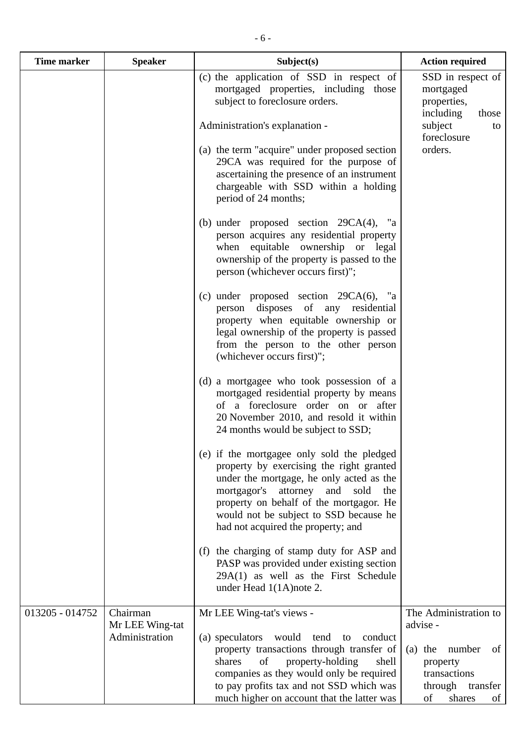| (c) the application of SSD in respect of<br>mortgaged properties, including those<br>mortgaged<br>subject to foreclosure orders.<br>properties,<br>including<br>subject<br>Administration's explanation -<br>orders.<br>(a) the term "acquire" under proposed section<br>29CA was required for the purpose of<br>ascertaining the presence of an instrument<br>chargeable with SSD within a holding<br>period of 24 months;<br>(b) under proposed section $29CA(4)$ ,<br>"a<br>person acquires any residential property<br>when equitable ownership or legal<br>ownership of the property is passed to the<br>person (whichever occurs first)";<br>(c) under proposed section $29CA(6)$ , "a<br>person disposes of any residential<br>property when equitable ownership or<br>legal ownership of the property is passed<br>from the person to the other person<br>(whichever occurs first)";<br>(d) a mortgagee who took possession of a<br>mortgaged residential property by means<br>of a foreclosure order on or after<br>20 November 2010, and resold it within<br>24 months would be subject to SSD;<br>(e) if the mortgagee only sold the pledged<br>property by exercising the right granted<br>under the mortgage, he only acted as the<br>mortgagor's attorney<br>and<br>sold<br>the<br>property on behalf of the mortgagor. He<br>would not be subject to SSD because he<br>had not acquired the property; and<br>(f) the charging of stamp duty for ASP and<br>PASP was provided under existing section<br>$29A(1)$ as well as the First Schedule<br>under Head 1(1A) note 2.<br>Chairman<br>013205 - 014752<br>Mr LEE Wing-tat's views -<br>advise -<br>Mr LEE Wing-tat<br>Administration<br>(a) speculators would<br>tend<br>conduct<br>to | <b>Time marker</b> | <b>Speaker</b> | Subject(s)                                | <b>Action required</b>                                                        |
|---------------------------------------------------------------------------------------------------------------------------------------------------------------------------------------------------------------------------------------------------------------------------------------------------------------------------------------------------------------------------------------------------------------------------------------------------------------------------------------------------------------------------------------------------------------------------------------------------------------------------------------------------------------------------------------------------------------------------------------------------------------------------------------------------------------------------------------------------------------------------------------------------------------------------------------------------------------------------------------------------------------------------------------------------------------------------------------------------------------------------------------------------------------------------------------------------------------------------------------------------------------------------------------------------------------------------------------------------------------------------------------------------------------------------------------------------------------------------------------------------------------------------------------------------------------------------------------------------------------------------------------------------------------------------------------------------------------------------------------------------------|--------------------|----------------|-------------------------------------------|-------------------------------------------------------------------------------|
|                                                                                                                                                                                                                                                                                                                                                                                                                                                                                                                                                                                                                                                                                                                                                                                                                                                                                                                                                                                                                                                                                                                                                                                                                                                                                                                                                                                                                                                                                                                                                                                                                                                                                                                                                         |                    |                |                                           | SSD in respect of<br>those                                                    |
|                                                                                                                                                                                                                                                                                                                                                                                                                                                                                                                                                                                                                                                                                                                                                                                                                                                                                                                                                                                                                                                                                                                                                                                                                                                                                                                                                                                                                                                                                                                                                                                                                                                                                                                                                         |                    |                |                                           | to<br>foreclosure                                                             |
|                                                                                                                                                                                                                                                                                                                                                                                                                                                                                                                                                                                                                                                                                                                                                                                                                                                                                                                                                                                                                                                                                                                                                                                                                                                                                                                                                                                                                                                                                                                                                                                                                                                                                                                                                         |                    |                |                                           |                                                                               |
|                                                                                                                                                                                                                                                                                                                                                                                                                                                                                                                                                                                                                                                                                                                                                                                                                                                                                                                                                                                                                                                                                                                                                                                                                                                                                                                                                                                                                                                                                                                                                                                                                                                                                                                                                         |                    |                |                                           |                                                                               |
|                                                                                                                                                                                                                                                                                                                                                                                                                                                                                                                                                                                                                                                                                                                                                                                                                                                                                                                                                                                                                                                                                                                                                                                                                                                                                                                                                                                                                                                                                                                                                                                                                                                                                                                                                         |                    |                |                                           |                                                                               |
|                                                                                                                                                                                                                                                                                                                                                                                                                                                                                                                                                                                                                                                                                                                                                                                                                                                                                                                                                                                                                                                                                                                                                                                                                                                                                                                                                                                                                                                                                                                                                                                                                                                                                                                                                         |                    |                |                                           |                                                                               |
|                                                                                                                                                                                                                                                                                                                                                                                                                                                                                                                                                                                                                                                                                                                                                                                                                                                                                                                                                                                                                                                                                                                                                                                                                                                                                                                                                                                                                                                                                                                                                                                                                                                                                                                                                         |                    |                |                                           |                                                                               |
|                                                                                                                                                                                                                                                                                                                                                                                                                                                                                                                                                                                                                                                                                                                                                                                                                                                                                                                                                                                                                                                                                                                                                                                                                                                                                                                                                                                                                                                                                                                                                                                                                                                                                                                                                         |                    |                |                                           |                                                                               |
|                                                                                                                                                                                                                                                                                                                                                                                                                                                                                                                                                                                                                                                                                                                                                                                                                                                                                                                                                                                                                                                                                                                                                                                                                                                                                                                                                                                                                                                                                                                                                                                                                                                                                                                                                         |                    |                |                                           | The Administration to                                                         |
| shares<br>of<br>property-holding<br>shell<br>property<br>companies as they would only be required<br>to pay profits tax and not SSD which was<br>much higher on account that the latter was<br>of                                                                                                                                                                                                                                                                                                                                                                                                                                                                                                                                                                                                                                                                                                                                                                                                                                                                                                                                                                                                                                                                                                                                                                                                                                                                                                                                                                                                                                                                                                                                                       |                    |                | property transactions through transfer of | number<br>$(a)$ the<br>of<br>transactions<br>through transfer<br>shares<br>of |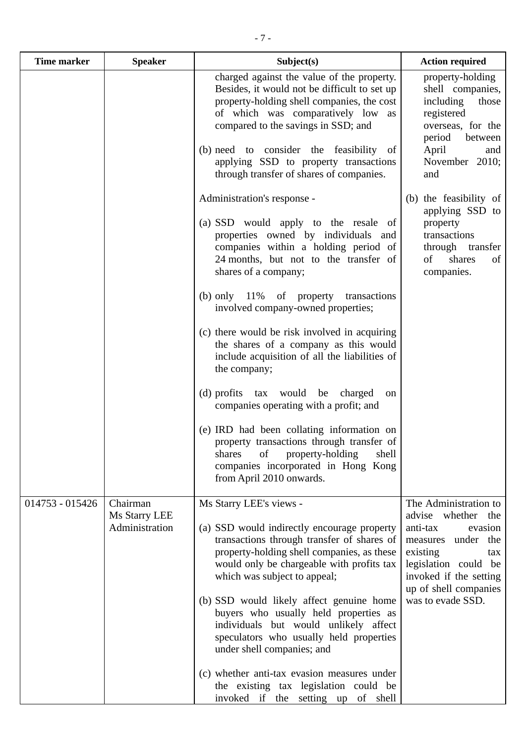| <b>Time marker</b> | <b>Speaker</b>                              | Subject(s)                                                                                                                                                                                                                                                                                                                                                                                                               | <b>Action required</b>                                                                                                                                                                                               |
|--------------------|---------------------------------------------|--------------------------------------------------------------------------------------------------------------------------------------------------------------------------------------------------------------------------------------------------------------------------------------------------------------------------------------------------------------------------------------------------------------------------|----------------------------------------------------------------------------------------------------------------------------------------------------------------------------------------------------------------------|
|                    |                                             | charged against the value of the property.<br>Besides, it would not be difficult to set up<br>property-holding shell companies, the cost<br>of which was comparatively low<br>as<br>compared to the savings in SSD; and<br>(b) need to consider the feasibility<br>-of<br>applying SSD to property transactions<br>through transfer of shares of companies.                                                              | property-holding<br>shell companies,<br>including<br>those<br>registered<br>overseas, for the<br>period<br>between<br>April<br>and<br>November 2010;<br>and                                                          |
|                    |                                             | Administration's response -<br>(a) SSD would apply to the resale of<br>properties owned by individuals and<br>companies within a holding period of<br>24 months, but not to the transfer of<br>shares of a company;<br>(b) only $11\%$<br>of property transactions<br>involved company-owned properties;                                                                                                                 | (b) the feasibility of<br>applying SSD to<br>property<br>transactions<br>through<br>transfer<br>of<br>shares<br>of<br>companies.                                                                                     |
|                    |                                             | (c) there would be risk involved in acquiring<br>the shares of a company as this would<br>include acquisition of all the liabilities of<br>the company;                                                                                                                                                                                                                                                                  |                                                                                                                                                                                                                      |
|                    |                                             | $(d)$ profits $tax$<br>would be charged<br>on<br>companies operating with a profit; and<br>(e) IRD had been collating information on<br>property transactions through transfer of<br>of<br>property-holding<br>shell<br>shares<br>companies incorporated in Hong Kong<br>from April 2010 onwards.                                                                                                                        |                                                                                                                                                                                                                      |
| 014753 - 015426    | Chairman<br>Ms Starry LEE<br>Administration | Ms Starry LEE's views -<br>(a) SSD would indirectly encourage property<br>transactions through transfer of shares of<br>property-holding shell companies, as these<br>would only be chargeable with profits tax<br>which was subject to appeal;<br>(b) SSD would likely affect genuine home<br>buyers who usually held properties as<br>individuals but would unlikely affect<br>speculators who usually held properties | The Administration to<br>advise<br>whether<br>the<br>anti-tax<br>evasion<br>measures under<br>the<br>existing<br>tax<br>legislation could be<br>invoked if the setting<br>up of shell companies<br>was to evade SSD. |
|                    |                                             | under shell companies; and<br>(c) whether anti-tax evasion measures under                                                                                                                                                                                                                                                                                                                                                |                                                                                                                                                                                                                      |

the existing tax legislation could be invoked if the setting up of shell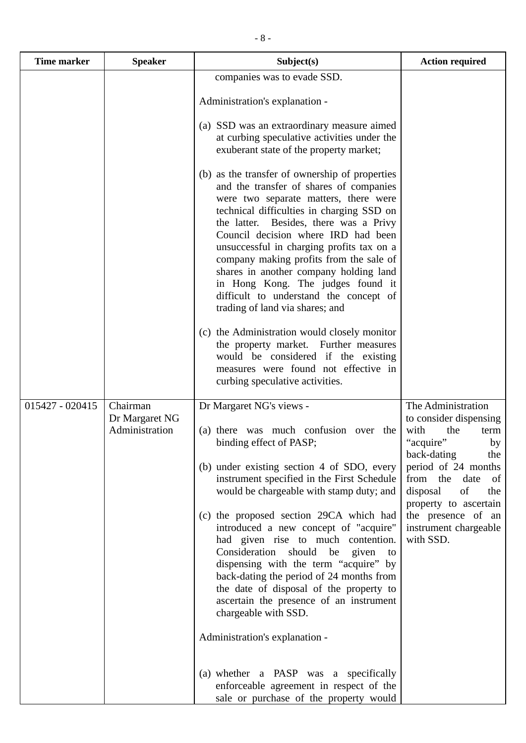| <b>Time marker</b> | <b>Speaker</b>                               | Subject(s)                                                                                                                                                                                                                                                                                                                                                                                                                                                                                                           | <b>Action required</b>                                                                 |
|--------------------|----------------------------------------------|----------------------------------------------------------------------------------------------------------------------------------------------------------------------------------------------------------------------------------------------------------------------------------------------------------------------------------------------------------------------------------------------------------------------------------------------------------------------------------------------------------------------|----------------------------------------------------------------------------------------|
|                    |                                              | companies was to evade SSD.                                                                                                                                                                                                                                                                                                                                                                                                                                                                                          |                                                                                        |
|                    |                                              | Administration's explanation -                                                                                                                                                                                                                                                                                                                                                                                                                                                                                       |                                                                                        |
|                    |                                              | (a) SSD was an extraordinary measure aimed<br>at curbing speculative activities under the<br>exuberant state of the property market;                                                                                                                                                                                                                                                                                                                                                                                 |                                                                                        |
|                    |                                              | (b) as the transfer of ownership of properties<br>and the transfer of shares of companies<br>were two separate matters, there were<br>technical difficulties in charging SSD on<br>the latter. Besides, there was a Privy<br>Council decision where IRD had been<br>unsuccessful in charging profits tax on a<br>company making profits from the sale of<br>shares in another company holding land<br>in Hong Kong. The judges found it<br>difficult to understand the concept of<br>trading of land via shares; and |                                                                                        |
|                    |                                              | (c) the Administration would closely monitor<br>the property market.<br>Further measures<br>would be considered if the existing<br>measures were found not effective in<br>curbing speculative activities.                                                                                                                                                                                                                                                                                                           |                                                                                        |
| 015427 - 020415    | Chairman<br>Dr Margaret NG<br>Administration | Dr Margaret NG's views -<br>(a) there was much confusion over the<br>binding effect of PASP;                                                                                                                                                                                                                                                                                                                                                                                                                         | The Administration<br>to consider dispensing<br>with<br>the<br>term<br>"acquire"<br>by |
|                    |                                              | (b) under existing section 4 of SDO, every<br>instrument specified in the First Schedule<br>would be chargeable with stamp duty; and                                                                                                                                                                                                                                                                                                                                                                                 | back-dating<br>the<br>period of 24 months<br>from the date of<br>disposal<br>of<br>the |
|                    |                                              | (c) the proposed section 29CA which had<br>introduced a new concept of "acquire"<br>had given rise to much contention.<br>Consideration should<br>be given<br>to<br>dispensing with the term "acquire" by<br>back-dating the period of 24 months from<br>the date of disposal of the property to<br>ascertain the presence of an instrument<br>chargeable with SSD.                                                                                                                                                  | property to ascertain<br>the presence of an<br>instrument chargeable<br>with SSD.      |
|                    |                                              | Administration's explanation -                                                                                                                                                                                                                                                                                                                                                                                                                                                                                       |                                                                                        |
|                    |                                              | (a) whether a PASP was a specifically<br>enforceable agreement in respect of the<br>sale or purchase of the property would                                                                                                                                                                                                                                                                                                                                                                                           |                                                                                        |